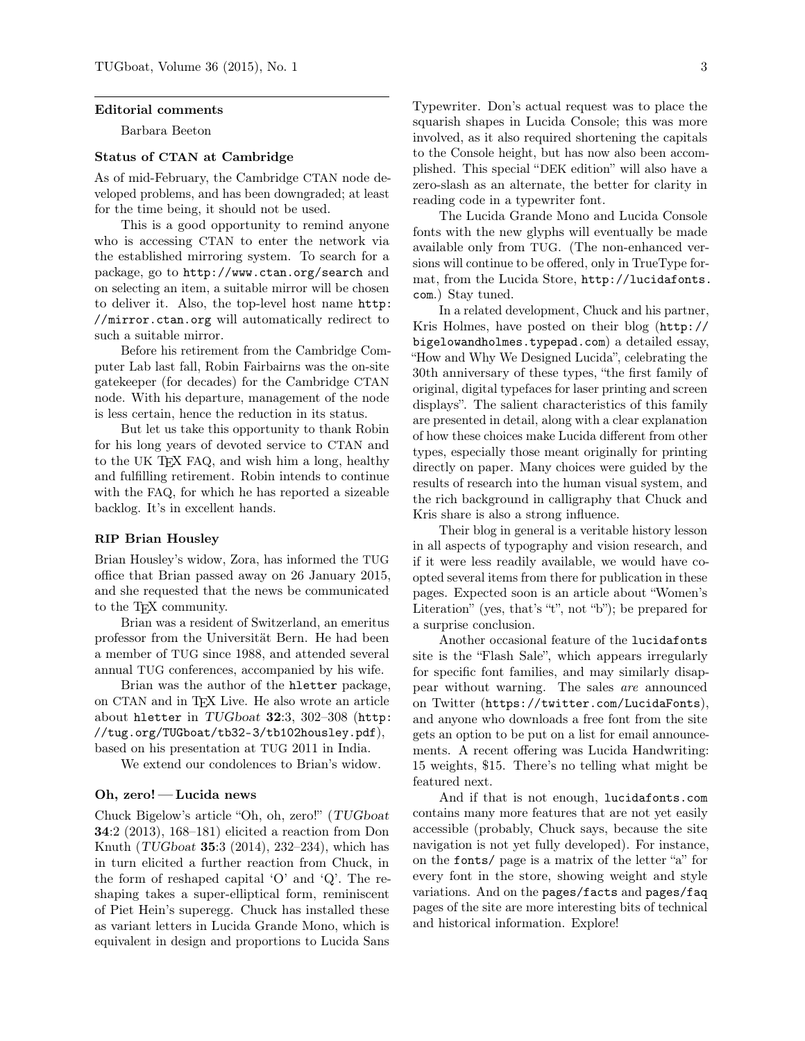#### Editorial comments

Barbara Beeton

## Status of CTAN at Cambridge

As of mid-February, the Cambridge CTAN node developed problems, and has been downgraded; at least for the time being, it should not be used.

This is a good opportunity to remind anyone who is accessing CTAN to enter the network via the established mirroring system. To search for a package, go to http://www.ctan.org/search and on selecting an item, a suitable mirror will be chosen to deliver it. Also, the top-level host name http: //mirror.ctan.org will automatically redirect to such a suitable mirror.

Before his retirement from the Cambridge Computer Lab last fall, Robin Fairbairns was the on-site gatekeeper (for decades) for the Cambridge CTAN node. With his departure, management of the node is less certain, hence the reduction in its status.

But let us take this opportunity to thank Robin for his long years of devoted service to CTAN and to the UK TEX FAQ, and wish him a long, healthy and fulfilling retirement. Robin intends to continue with the FAQ, for which he has reported a sizeable backlog. It's in excellent hands.

## RIP Brian Housley

Brian Housley's widow, Zora, has informed the TUG office that Brian passed away on 26 January 2015, and she requested that the news be communicated to the TEX community.

Brian was a resident of Switzerland, an emeritus professor from the Universität Bern. He had been a member of TUG since 1988, and attended several annual TUG conferences, accompanied by his wife.

Brian was the author of the hletter package, on CTAN and in TEX Live. He also wrote an article about hletter in TUGboat 32:3, 302–308 (http: //tug.org/TUGboat/tb32-3/tb102housley.pdf), based on his presentation at TUG 2011 in India.

We extend our condolences to Brian's widow.

#### Oh, zero! — Lucida news

Chuck Bigelow's article "Oh, oh, zero!" (TUGboat 34:2 (2013), 168–181) elicited a reaction from Don Knuth (TUGboat 35:3 (2014), 232–234), which has in turn elicited a further reaction from Chuck, in the form of reshaped capital 'O' and 'Q'. The reshaping takes a super-elliptical form, reminiscent of Piet Hein's superegg. Chuck has installed these as variant letters in Lucida Grande Mono, which is equivalent in design and proportions to Lucida Sans

Typewriter. Don's actual request was to place the squarish shapes in Lucida Console; this was more involved, as it also required shortening the capitals to the Console height, but has now also been accomplished. This special "DEK edition" will also have a zero-slash as an alternate, the better for clarity in reading code in a typewriter font.

The Lucida Grande Mono and Lucida Console fonts with the new glyphs will eventually be made available only from TUG. (The non-enhanced versions will continue to be offered, only in TrueType format, from the Lucida Store, http://lucidafonts. com.) Stay tuned.

In a related development, Chuck and his partner, Kris Holmes, have posted on their blog (http:// bigelowandholmes.typepad.com) a detailed essay, "How and Why We Designed Lucida", celebrating the 30th anniversary of these types, "the first family of original, digital typefaces for laser printing and screen displays". The salient characteristics of this family are presented in detail, along with a clear explanation of how these choices make Lucida different from other types, especially those meant originally for printing directly on paper. Many choices were guided by the results of research into the human visual system, and the rich background in calligraphy that Chuck and Kris share is also a strong influence.

Their blog in general is a veritable history lesson in all aspects of typography and vision research, and if it were less readily available, we would have coopted several items from there for publication in these pages. Expected soon is an article about "Women's Literation" (yes, that's "t", not "b"); be prepared for a surprise conclusion.

Another occasional feature of the lucidafonts site is the "Flash Sale", which appears irregularly for specific font families, and may similarly disappear without warning. The sales are announced on Twitter (https://twitter.com/LucidaFonts), and anyone who downloads a free font from the site gets an option to be put on a list for email announcements. A recent offering was Lucida Handwriting: 15 weights, \$15. There's no telling what might be featured next.

And if that is not enough, lucidafonts.com contains many more features that are not yet easily accessible (probably, Chuck says, because the site navigation is not yet fully developed). For instance, on the fonts/ page is a matrix of the letter "a" for every font in the store, showing weight and style variations. And on the pages/facts and pages/faq pages of the site are more interesting bits of technical and historical information. Explore!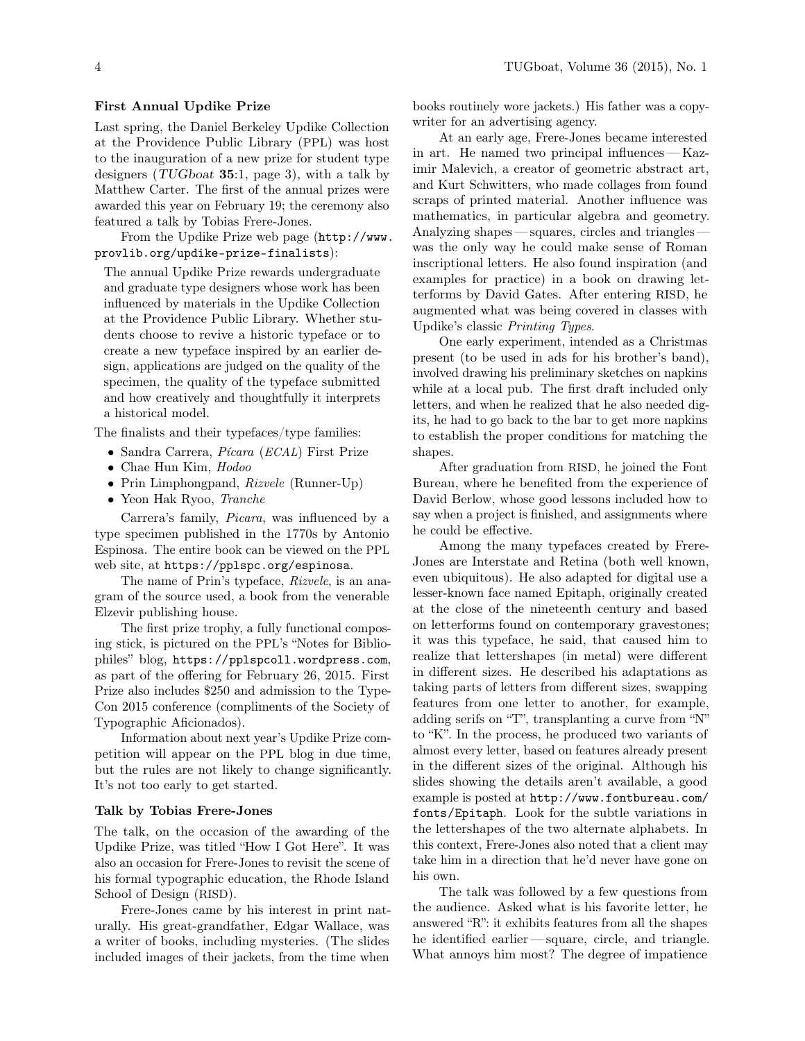# First Annual Updike Prize

Last spring, the Daniel Berkeley Updike Collection at the Providence Public Library (PPL) was host to the inauguration of a new prize for student type designers  $(TUGboat 35:1, page 3)$ , with a talk by Matthew Carter. The first of the annual prizes were awarded this year on February 19; the ceremony also featured a talk by Tobias Frere-Jones.

From the Updike Prize web page (http://www. provlib.org/updike-prize-finalists):

The annual Updike Prize rewards undergraduate and graduate type designers whose work has been influenced by materials in the Updike Collection at the Providence Public Library. Whether students choose to revive a historic typeface or to create a new typeface inspired by an earlier design, applications are judged on the quality of the specimen, the quality of the typeface submitted and how creatively and thoughtfully it interprets a historical model.

The finalists and their typefaces/type families:

- Sandra Carrera, Pícara (ECAL) First Prize
- Chae Hun Kim, Hodoo
- Prin Limphongpand, Rizvele (Runner-Up)
- Yeon Hak Ryoo, Tranche

Carrera's family, Picara, was influenced by a type specimen published in the 1770s by Antonio Espinosa. The entire book can be viewed on the PPL web site, at https://pplspc.org/espinosa.

The name of Prin's typeface, Rizvele, is an anagram of the source used, a book from the venerable Elzevir publishing house.

The first prize trophy, a fully functional composing stick, is pictured on the PPL's "Notes for Bibliophiles" blog, https://pplspcoll.wordpress.com, as part of the offering for February 26, 2015. First Prize also includes \$250 and admission to the Type-Con 2015 conference (compliments of the Society of Typographic Aficionados).

Information about next year's Updike Prize competition will appear on the PPL blog in due time, but the rules are not likely to change significantly. It's not too early to get started.

#### Talk by Tobias Frere-Jones

The talk, on the occasion of the awarding of the Updike Prize, was titled "How I Got Here". It was also an occasion for Frere-Jones to revisit the scene of his formal typographic education, the Rhode Island School of Design (RISD).

Frere-Jones came by his interest in print naturally. His great-grandfather, Edgar Wallace, was a writer of books, including mysteries. (The slides included images of their jackets, from the time when

books routinely wore jackets.) His father was a copywriter for an advertising agency.

At an early age, Frere-Jones became interested in art. He named two principal influences— Kazimir Malevich, a creator of geometric abstract art, and Kurt Schwitters, who made collages from found scraps of printed material. Another influence was mathematics, in particular algebra and geometry. Analyzing shapes— squares, circles and triangles was the only way he could make sense of Roman inscriptional letters. He also found inspiration (and examples for practice) in a book on drawing letterforms by David Gates. After entering RISD, he augmented what was being covered in classes with Updike's classic Printing Types.

One early experiment, intended as a Christmas present (to be used in ads for his brother's band), involved drawing his preliminary sketches on napkins while at a local pub. The first draft included only letters, and when he realized that he also needed digits, he had to go back to the bar to get more napkins to establish the proper conditions for matching the shapes.

After graduation from RISD, he joined the Font Bureau, where he benefited from the experience of David Berlow, whose good lessons included how to say when a project is finished, and assignments where he could be effective.

Among the many typefaces created by Frere-Jones are Interstate and Retina (both well known, even ubiquitous). He also adapted for digital use a lesser-known face named Epitaph, originally created at the close of the nineteenth century and based on letterforms found on contemporary gravestones; it was this typeface, he said, that caused him to realize that lettershapes (in metal) were different in different sizes. He described his adaptations as taking parts of letters from different sizes, swapping features from one letter to another, for example, adding serifs on "T", transplanting a curve from "N" to "K". In the process, he produced two variants of almost every letter, based on features already present in the different sizes of the original. Although his slides showing the details aren't available, a good example is posted at http://www.fontbureau.com/ fonts/Epitaph. Look for the subtle variations in the lettershapes of the two alternate alphabets. In this context, Frere-Jones also noted that a client may take him in a direction that he'd never have gone on his own.

The talk was followed by a few questions from the audience. Asked what is his favorite letter, he answered "R": it exhibits features from all the shapes he identified earlier— square, circle, and triangle. What annoys him most? The degree of impatience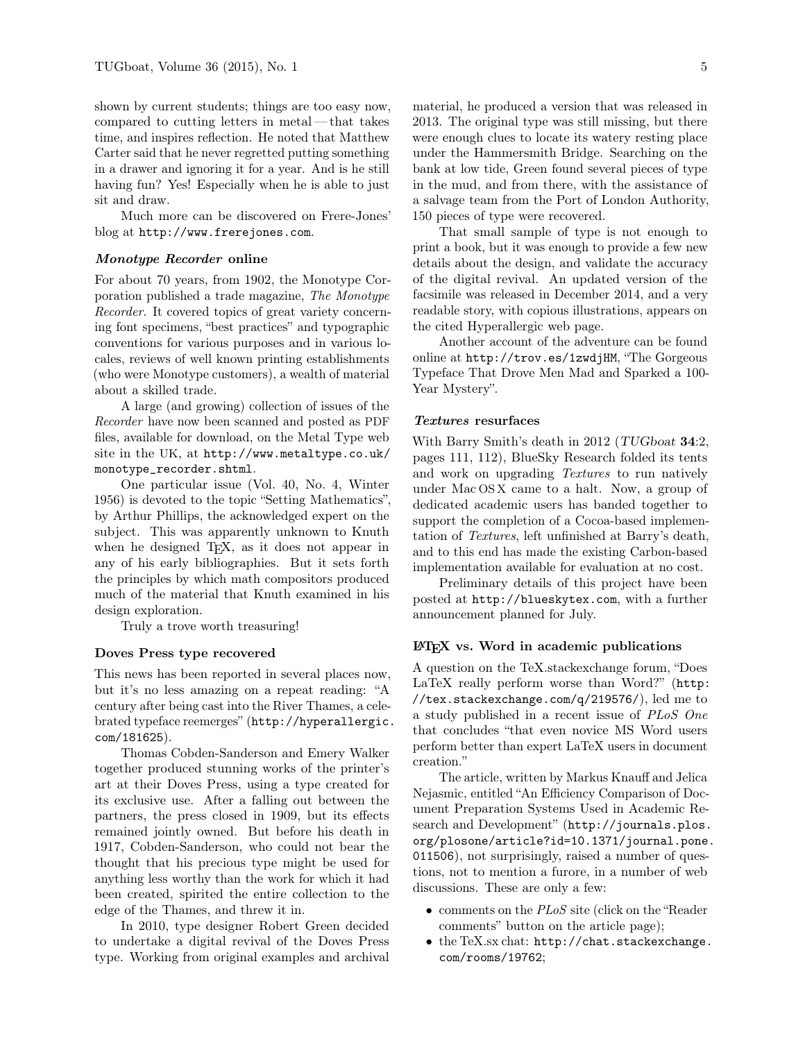shown by current students; things are too easy now, compared to cutting letters in metal— that takes time, and inspires reflection. He noted that Matthew Carter said that he never regretted putting something in a drawer and ignoring it for a year. And is he still having fun? Yes! Especially when he is able to just sit and draw.

Much more can be discovered on Frere-Jones' blog at http://www.frerejones.com.

## Monotype Recorder online

For about 70 years, from 1902, the Monotype Corporation published a trade magazine, The Monotype Recorder. It covered topics of great variety concerning font specimens, "best practices" and typographic conventions for various purposes and in various locales, reviews of well known printing establishments (who were Monotype customers), a wealth of material about a skilled trade.

A large (and growing) collection of issues of the Recorder have now been scanned and posted as PDF files, available for download, on the Metal Type web site in the UK, at http://www.metaltype.co.uk/ monotype\_recorder.shtml.

One particular issue (Vol. 40, No. 4, Winter 1956) is devoted to the topic "Setting Mathematics", by Arthur Phillips, the acknowledged expert on the subject. This was apparently unknown to Knuth when he designed T<sub>E</sub>X, as it does not appear in any of his early bibliographies. But it sets forth the principles by which math compositors produced much of the material that Knuth examined in his design exploration.

Truly a trove worth treasuring!

#### Doves Press type recovered

This news has been reported in several places now, but it's no less amazing on a repeat reading: "A century after being cast into the River Thames, a celebrated typeface reemerges" (http://hyperallergic. com/181625).

Thomas Cobden-Sanderson and Emery Walker together produced stunning works of the printer's art at their Doves Press, using a type created for its exclusive use. After a falling out between the partners, the press closed in 1909, but its effects remained jointly owned. But before his death in 1917, Cobden-Sanderson, who could not bear the thought that his precious type might be used for anything less worthy than the work for which it had been created, spirited the entire collection to the edge of the Thames, and threw it in.

In 2010, type designer Robert Green decided to undertake a digital revival of the Doves Press type. Working from original examples and archival material, he produced a version that was released in 2013. The original type was still missing, but there were enough clues to locate its watery resting place under the Hammersmith Bridge. Searching on the bank at low tide, Green found several pieces of type in the mud, and from there, with the assistance of a salvage team from the Port of London Authority, 150 pieces of type were recovered.

That small sample of type is not enough to print a book, but it was enough to provide a few new details about the design, and validate the accuracy of the digital revival. An updated version of the facsimile was released in December 2014, and a very readable story, with copious illustrations, appears on the cited Hyperallergic web page.

Another account of the adventure can be found online at http://trov.es/1zwdjHM, "The Gorgeous Typeface That Drove Men Mad and Sparked a 100- Year Mystery".

### Textures resurfaces

With Barry Smith's death in 2012 (TUGboat 34:2, pages 111, 112), BlueSky Research folded its tents and work on upgrading Textures to run natively under Mac OS X came to a halt. Now, a group of dedicated academic users has banded together to support the completion of a Cocoa-based implementation of Textures, left unfinished at Barry's death, and to this end has made the existing Carbon-based implementation available for evaluation at no cost.

Preliminary details of this project have been posted at http://blueskytex.com, with a further announcement planned for July.

### LATEX vs. Word in academic publications

A question on the TeX.stackexchange forum, "Does LaTeX really perform worse than Word?" (http: //tex.stackexchange.com/q/219576/), led me to a study published in a recent issue of PLoS One that concludes "that even novice MS Word users perform better than expert LaTeX users in document creation."

The article, written by Markus Knauff and Jelica Nejasmic, entitled "An Efficiency Comparison of Document Preparation Systems Used in Academic Research and Development" (http://journals.plos. org/plosone/article?id=10.1371/journal.pone. 011506), not surprisingly, raised a number of questions, not to mention a furore, in a number of web discussions. These are only a few:

- comments on the PLoS site (click on the "Reader" comments" button on the article page);
- the TeX.sx chat: http://chat.stackexchange. com/rooms/19762;